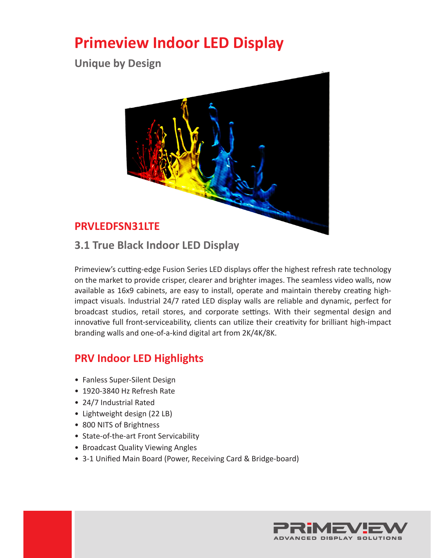# **Primeview Indoor LED Display**

**Unique by Design**



**3.1 True Black Indoor LED Display**

Primeview's cutting-edge Fusion Series LED displays offer the highest refresh rate technology on the market to provide crisper, clearer and brighter images. The seamless video walls, now available as 16x9 cabinets, are easy to install, operate and maintain thereby creating highimpact visuals. Industrial 24/7 rated LED display walls are reliable and dynamic, perfect for broadcast studios, retail stores, and corporate settings. With their segmental design and innovative full front-serviceability, clients can utilize their creativity for brilliant high-impact branding walls and one-of-a-kind digital art from 2K/4K/8K.

### **PRV Indoor LED Highlights**

- Fanless Super-Silent Design
- 1920-3840 Hz Refresh Rate
- 24/7 Industrial Rated
- Lightweight design (22 LB)
- 800 NITS of Brightness
- State-of-the-art Front Servicability
- Broadcast Quality Viewing Angles
- 3-1 Unified Main Board (Power, Receiving Card & Bridge-board)

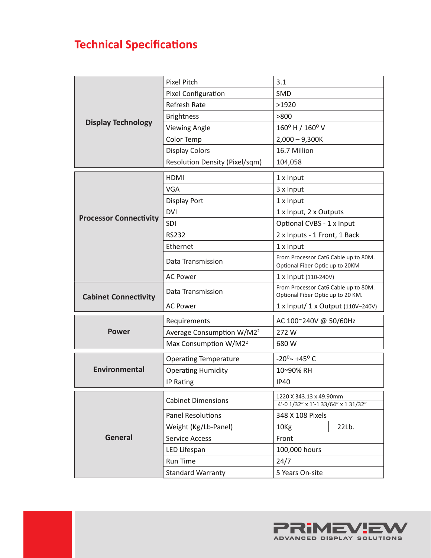# **Technical Specifications**

| <b>Display Technology</b>     | <b>Pixel Pitch</b>                    | 3.1                                                                       |
|-------------------------------|---------------------------------------|---------------------------------------------------------------------------|
|                               | Pixel Configuration                   | SMD                                                                       |
|                               | <b>Refresh Rate</b>                   | >1920                                                                     |
|                               | <b>Brightness</b>                     | >800                                                                      |
|                               | <b>Viewing Angle</b>                  | 160° H / 160° V                                                           |
|                               | Color Temp                            | $2,000 - 9,300K$                                                          |
|                               | <b>Display Colors</b>                 | 16.7 Million                                                              |
|                               | Resolution Density (Pixel/sqm)        | 104,058                                                                   |
| <b>Processor Connectivity</b> | <b>HDMI</b>                           | 1 x Input                                                                 |
|                               | <b>VGA</b>                            | 3 x Input                                                                 |
|                               | <b>Display Port</b>                   | 1 x Input                                                                 |
|                               | <b>DVI</b>                            | 1 x Input, 2 x Outputs                                                    |
|                               | <b>SDI</b>                            | Optional CVBS - 1 x Input                                                 |
|                               | <b>RS232</b>                          | 2 x Inputs - 1 Front, 1 Back                                              |
|                               | Ethernet                              | 1 x Input                                                                 |
|                               | Data Transmission                     | From Processor Cat6 Cable up to 80M.<br>Optional Fiber Optic up to 20KM   |
|                               | <b>AC Power</b>                       | 1 x Input (110-240V)                                                      |
| <b>Cabinet Connectivity</b>   | Data Transmission                     | From Processor Cat6 Cable up to 80M.<br>Optional Fiber Optic up to 20 KM. |
|                               | <b>AC Power</b>                       | 1 x Input/ 1 x Output (110V-240V)                                         |
| <b>Power</b>                  | Requirements                          | AC 100~240V @ 50/60Hz                                                     |
|                               | Average Consumption W/M2 <sup>2</sup> | 272W                                                                      |
|                               | Max Consumption W/M2 <sup>2</sup>     | 680 W                                                                     |
| Environmental                 | <b>Operating Temperature</b>          | $-20^{\circ}$ $\sim$ +45° C                                               |
|                               | <b>Operating Humidity</b>             | 10~90% RH                                                                 |
|                               | IP Rating                             | <b>IP40</b>                                                               |
| <b>General</b>                | <b>Cabinet Dimensions</b>             | 1220 X 343.13 x 49.90mm                                                   |
|                               |                                       | 4'-0 1/32" x 1'-1 33/64" x 1 31/32"                                       |
|                               | <b>Panel Resolutions</b>              | 348 X 108 Pixels                                                          |
|                               | Weight (Kg/Lb-Panel)                  | 22Lb.<br>10 <sub>Kg</sub>                                                 |
|                               | <b>Service Access</b>                 | Front                                                                     |
|                               | LED Lifespan                          | 100,000 hours                                                             |
|                               | <b>Run Time</b>                       | 24/7                                                                      |
|                               | <b>Standard Warranty</b>              | 5 Years On-site                                                           |